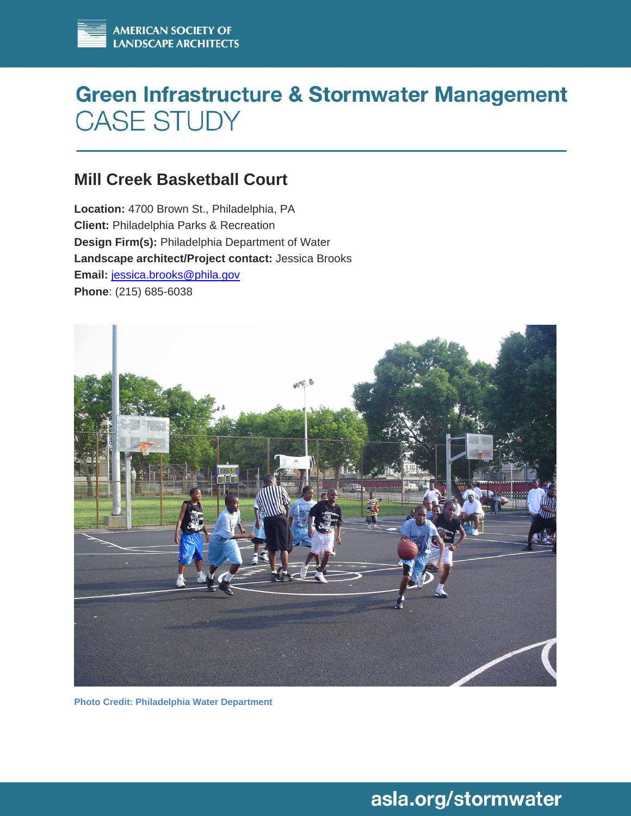# **Green Infrastructure & Stormwater Management CASE STUDY**

### **Mill Creek Basketball Court**

**Location:** 4700 Brown St., Philadelphia, PA **Client:** Philadelphia Parks & Recreation **Design Firm(s):** Philadelphia Department of Water **Landscape architect/Project contact:** Jessica Brooks **Email:** [jessica.brooks@phila.gov](mailto:jessica.brooks@phila.gov) **Phone**: (215) 685-6038



**Photo Credit: Philadelphia Water Department** 

## asla.org/stormwater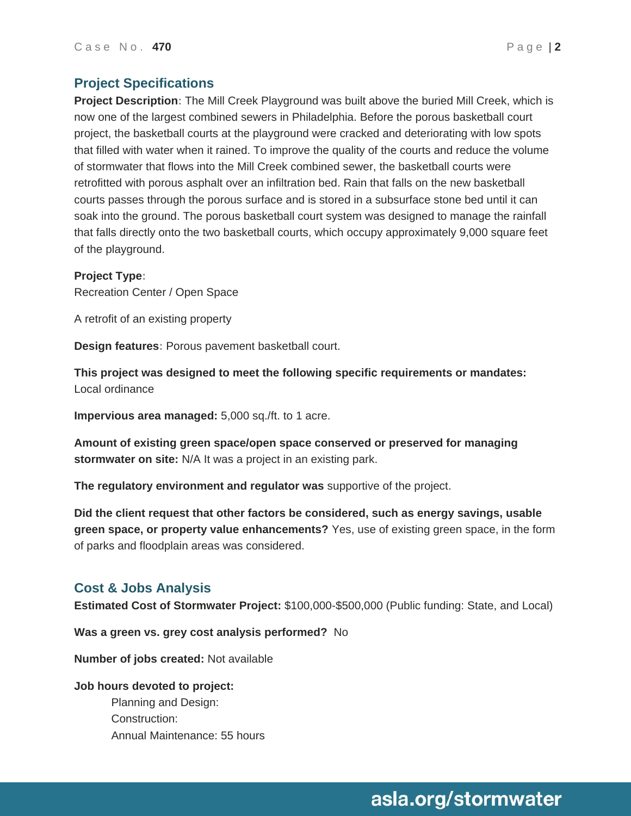**Project Description:** The Mill Creek Playground was built above the buried Mill Creek, which is now one of the largest combined sewers in Philadelphia. Before the porous basketball court project, the basketball courts at the playground were cracked and deteriorating with low spots that filled with water when it rained. To improve the quality of the courts and reduce the volume of stormwater that flows into the Mill Creek combined sewer, the basketball courts were retrofitted with porous asphalt over an infiltration bed. Rain that falls on the new basketball courts passes through the porous surface and is stored in a subsurface stone bed until it can soak into the ground. The porous basketball court system was designed to manage the rainfall that falls directly onto the two basketball courts, which occupy approximately 9,000 square feet of the playground.

#### **Project Type:**

Recreation Center / Open Space

A retrofit of an existing property

**Design features:** Porous pavement basketball court.

**This project was designed to meet the following specific requirements or mandates:** Local ordinance

**Impervious area managed:** 5,000 sq./ft. to 1 acre.

**Amount of existing green space/open space conserved or preserved for managing stormwater on site:** N/A It was a project in an existing park.

**The regulatory environment and regulator was** supportive of the project.

**Did the client request that other factors be considered, such as energy savings, usable green space, or property value enhancements?** Yes, use of existing green space, in the form of parks and floodplain areas was considered.

#### **Cost & Jobs Analysis**

**Estimated Cost of Stormwater Project:** \$100,000-\$500,000 (Public funding: State, and Local)

**Was a green vs. grey cost analysis performed?** No

**Number of jobs created:** Not available

### **Job hours devoted to project:**

Planning and Design: Construction: Annual Maintenance: 55 hours

### asla.org/stormwater